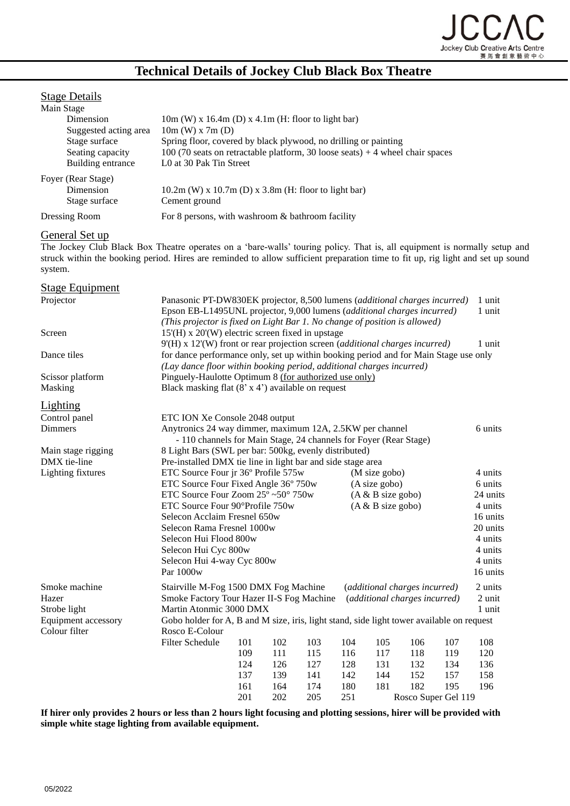

# **Technical Details of Jockey Club Black Box Theatre**

## **Stage Details**

| Main Stage    |                       |                                                                                |
|---------------|-----------------------|--------------------------------------------------------------------------------|
|               | Dimension             | $10m$ (W) x $16.4m$ (D) x $4.1m$ (H: floor to light bar)                       |
|               | Suggested acting area | $10m$ (W) x 7m (D)                                                             |
|               | Stage surface         | Spring floor, covered by black plywood, no drilling or painting                |
|               | Seating capacity      | 100 (70 seats on retractable platform, 30 loose seats) $+4$ wheel chair spaces |
|               | Building entrance     | L0 at 30 Pak Tin Street                                                        |
|               | Foyer (Rear Stage)    |                                                                                |
|               | Dimension             | $10.2m$ (W) x $10.7m$ (D) x $3.8m$ (H: floor to light bar)                     |
|               | Stage surface         | Cement ground                                                                  |
| Dressing Room |                       | For 8 persons, with washroom $&$ bathroom facility                             |

#### General Set up

The Jockey Club Black Box Theatre operates on a 'bare-walls' touring policy. That is, all equipment is normally setup and struck within the booking period. Hires are reminded to allow sufficient preparation time to fit up, rig light and set up sound system.

| <b>Stage Equipment</b>             |                                                                                                                                                                                                                                              |                                                                                                                      |     |     |     |                     |                               |         |          |
|------------------------------------|----------------------------------------------------------------------------------------------------------------------------------------------------------------------------------------------------------------------------------------------|----------------------------------------------------------------------------------------------------------------------|-----|-----|-----|---------------------|-------------------------------|---------|----------|
| Projector                          | Panasonic PT-DW830EK projector, 8,500 lumens (additional charges incurred)<br>Epson EB-L1495UNL projector, 9,000 lumens (additional charges incurred)<br>(This projector is fixed on Light Bar 1. No change of position is allowed)          |                                                                                                                      |     |     |     |                     | 1 unit<br>1 unit              |         |          |
| Screen                             | $15'(H)$ x $20'(W)$ electric screen fixed in upstage                                                                                                                                                                                         |                                                                                                                      |     |     |     |                     |                               |         |          |
| Dance tiles                        | 9'(H) x 12'(W) front or rear projection screen (additional charges incurred)<br>for dance performance only, set up within booking period and for Main Stage use only<br>(Lay dance floor within booking period, additional charges incurred) |                                                                                                                      |     |     |     |                     | 1 unit                        |         |          |
| Scissor platform                   |                                                                                                                                                                                                                                              | Pinguely-Haulotte Optimum 8 (for authorized use only)                                                                |     |     |     |                     |                               |         |          |
| Masking                            |                                                                                                                                                                                                                                              | Black masking flat $(8 \times 4')$ available on request                                                              |     |     |     |                     |                               |         |          |
| <b>Lighting</b>                    |                                                                                                                                                                                                                                              |                                                                                                                      |     |     |     |                     |                               |         |          |
| Control panel                      | ETC ION Xe Console 2048 output                                                                                                                                                                                                               |                                                                                                                      |     |     |     |                     |                               |         |          |
| <b>Dimmers</b>                     | Anytronics 24 way dimmer, maximum 12A, 2.5KW per channel                                                                                                                                                                                     |                                                                                                                      |     |     |     |                     | 6 units                       |         |          |
|                                    | - 110 channels for Main Stage, 24 channels for Foyer (Rear Stage)                                                                                                                                                                            |                                                                                                                      |     |     |     |                     |                               |         |          |
| Main stage rigging<br>DMX tie-line |                                                                                                                                                                                                                                              | 8 Light Bars (SWL per bar: 500kg, evenly distributed)<br>Pre-installed DMX tie line in light bar and side stage area |     |     |     |                     |                               |         |          |
| Lighting fixtures                  |                                                                                                                                                                                                                                              |                                                                                                                      |     |     |     |                     |                               |         | 4 units  |
|                                    |                                                                                                                                                                                                                                              | ETC Source Four jr 36° Profile 575w<br>(M size gobo)<br>ETC Source Four Fixed Angle 36° 750w<br>(A size gobo)        |     |     |     |                     |                               | 6 units |          |
|                                    | ETC Source Four Zoom 25° ~50° 750w                                                                                                                                                                                                           |                                                                                                                      |     |     |     | $(A & B$ size gobo) |                               |         | 24 units |
|                                    | ETC Source Four 90°Profile 750w                                                                                                                                                                                                              |                                                                                                                      |     |     |     | $(A & B$ size gobo) |                               |         | 4 units  |
|                                    | Selecon Acclaim Fresnel 650w                                                                                                                                                                                                                 |                                                                                                                      |     |     |     |                     |                               |         | 16 units |
|                                    | Selecon Rama Fresnel 1000w                                                                                                                                                                                                                   |                                                                                                                      |     |     |     |                     |                               |         | 20 units |
|                                    | Selecon Hui Flood 800w                                                                                                                                                                                                                       |                                                                                                                      |     |     |     |                     |                               |         | 4 units  |
|                                    | Selecon Hui Cyc 800w                                                                                                                                                                                                                         |                                                                                                                      |     |     |     |                     |                               |         | 4 units  |
|                                    | Selecon Hui 4-way Cyc 800w                                                                                                                                                                                                                   |                                                                                                                      |     |     |     |                     |                               |         | 4 units  |
|                                    | Par 1000w                                                                                                                                                                                                                                    |                                                                                                                      |     |     |     |                     |                               |         | 16 units |
| Smoke machine                      | Stairville M-Fog 1500 DMX Fog Machine                                                                                                                                                                                                        |                                                                                                                      |     |     |     |                     | (additional charges incurred) |         | 2 units  |
| Hazer                              | Smoke Factory Tour Hazer II-S Fog Machine<br>(additional charges incurred)                                                                                                                                                                   |                                                                                                                      |     |     |     |                     | 2 unit                        |         |          |
| Strobe light                       | Martin Atonmic 3000 DMX                                                                                                                                                                                                                      |                                                                                                                      |     |     |     |                     |                               |         | 1 unit   |
| <b>Equipment accessory</b>         |                                                                                                                                                                                                                                              | Gobo holder for A, B and M size, iris, light stand, side light tower available on request                            |     |     |     |                     |                               |         |          |
| Colour filter                      | Rosco E-Colour                                                                                                                                                                                                                               |                                                                                                                      |     |     |     |                     |                               |         |          |
|                                    | <b>Filter Schedule</b>                                                                                                                                                                                                                       | 101                                                                                                                  | 102 | 103 | 104 | 105                 | 106                           | 107     | 108      |
|                                    |                                                                                                                                                                                                                                              | 109                                                                                                                  | 111 | 115 | 116 | 117                 | 118                           | 119     | 120      |
|                                    |                                                                                                                                                                                                                                              | 124                                                                                                                  | 126 | 127 | 128 | 131                 | 132                           | 134     | 136      |
|                                    |                                                                                                                                                                                                                                              | 137                                                                                                                  | 139 | 141 | 142 | 144                 | 152                           | 157     | 158      |
|                                    |                                                                                                                                                                                                                                              | 161                                                                                                                  | 164 | 174 | 180 | 181                 | 182                           | 195     | 196      |
|                                    |                                                                                                                                                                                                                                              | 201                                                                                                                  | 202 | 205 | 251 |                     | Rosco Super Gel 119           |         |          |

**If hirer only provides 2 hours or less than 2 hours light focusing and plotting sessions, hirer will be provided with simple white stage lighting from available equipment.**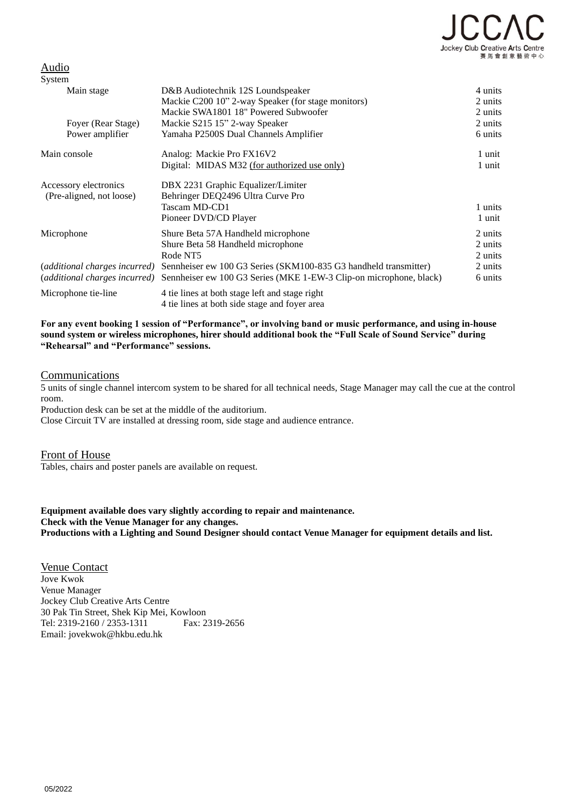

# Audio

| System                        |                                                                                         |                    |
|-------------------------------|-----------------------------------------------------------------------------------------|--------------------|
| Main stage                    | D&B Audiotechnik 12S Loundspeaker<br>Mackie C200 10" 2-way Speaker (for stage monitors) | 4 units<br>2 units |
|                               | Mackie SWA1801 18" Powered Subwoofer                                                    | 2 units            |
| Foyer (Rear Stage)            | Mackie S215 15" 2-way Speaker                                                           | 2 units            |
| Power amplifier               | Yamaha P2500S Dual Channels Amplifier                                                   | 6 units            |
| Main console                  | Analog: Mackie Pro FX16V2                                                               | 1 unit             |
|                               | Digital: MIDAS M32 (for authorized use only)                                            | 1 unit             |
| Accessory electronics         | DBX 2231 Graphic Equalizer/Limiter                                                      |                    |
| (Pre-aligned, not loose)      | Behringer DEQ2496 Ultra Curve Pro                                                       |                    |
|                               | Tascam MD-CD1                                                                           | 1 units            |
|                               | Pioneer DVD/CD Player                                                                   | 1 unit             |
| Microphone                    | Shure Beta 57A Handheld microphone                                                      | 2 units            |
|                               | Shure Beta 58 Handheld microphone                                                       | 2 units            |
|                               | Rode NT5                                                                                | 2 units            |
| (additional charges incurred) | Sennheiser ew 100 G3 Series (SKM100-835 G3 handheld transmitter)                        | 2 units            |
| (additional charges incurred) | Sennheiser ew 100 G3 Series (MKE 1-EW-3 Clip-on microphone, black)                      | 6 units            |
| Microphone tie-line           | 4 tie lines at both stage left and stage right                                          |                    |
|                               | 4 tie lines at both side stage and foyer area                                           |                    |

**For any event booking 1 session of "Performance", or involving band or music performance, and using in-house sound system or wireless microphones, hirer should additional book the "Full Scale of Sound Service" during "Rehearsal" and "Performance" sessions.**

### Communications

5 units of single channel intercom system to be shared for all technical needs, Stage Manager may call the cue at the control room.

Production desk can be set at the middle of the auditorium.

Close Circuit TV are installed at dressing room, side stage and audience entrance.

### Front of House

Tables, chairs and poster panels are available on request.

**Equipment available does vary slightly according to repair and maintenance. Check with the Venue Manager for any changes. Productions with a Lighting and Sound Designer should contact Venue Manager for equipment details and list.**

Venue Contact Jove Kwok Venue Manager Jockey Club Creative Arts Centre 30 Pak Tin Street, Shek Kip Mei, Kowloon Tel: 2319-2160 / 2353-1311 Fax: 2319-2656 Email: jovekwok@hkbu.edu.hk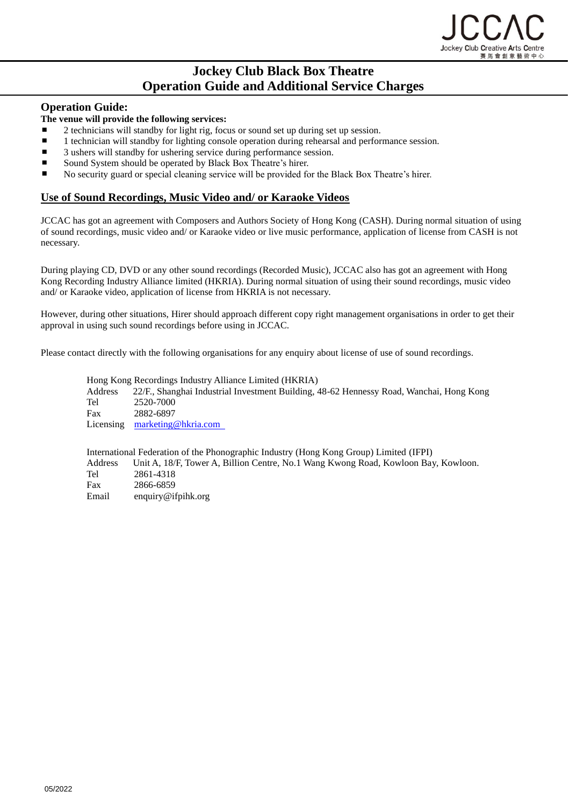

# **Jockey Club Black Box Theatre Operation Guide and Additional Service Charges**

# **Operation Guide:**

### **The venue will provide the following services:**

- 2 technicians will standby for light rig, focus or sound set up during set up session.
- $\blacksquare$ 1 technician will standby for lighting console operation during rehearsal and performance session.
- 3 ushers will standby for ushering service during performance session.
- Sound System should be operated by Black Box Theatre's hirer.
- No security guard or special cleaning service will be provided for the Black Box Theatre's hirer.

# **Use of Sound Recordings, Music Video and/ or Karaoke Videos**

JCCAC has got an agreement with Composers and Authors Society of Hong Kong (CASH). During normal situation of using of sound recordings, music video and/ or Karaoke video or live music performance, application of license from CASH is not necessary.

During playing CD, DVD or any other sound recordings (Recorded Music), JCCAC also has got an agreement with Hong Kong Recording Industry Alliance limited (HKRIA). During normal situation of using their sound recordings, music video and/ or Karaoke video, application of license from HKRIA is not necessary.

However, during other situations, Hirer should approach different copy right management organisations in order to get their approval in using such sound recordings before using in JCCAC.

Please contact directly with the following organisations for any enquiry about license of use of sound recordings.

Hong Kong Recordings Industry Alliance Limited (HKRIA) Address 22/F., Shanghai Industrial Investment Building, 48-62 Hennessy Road, Wanchai, Hong Kong Tel 2520-7000 Fax 2882-6897 Licensing [marketing@hkria.com](mailto:marketing@hkria.com) 

International Federation of the Phonographic Industry (Hong Kong Group) Limited (IFPI) Address Unit A, 18/F, Tower A, Billion Centre, No.1 Wang Kwong Road, Kowloon Bay, Kowloon. Tel 2861-4318 Fax 2866-6859 Email enquiry@ifpihk.org